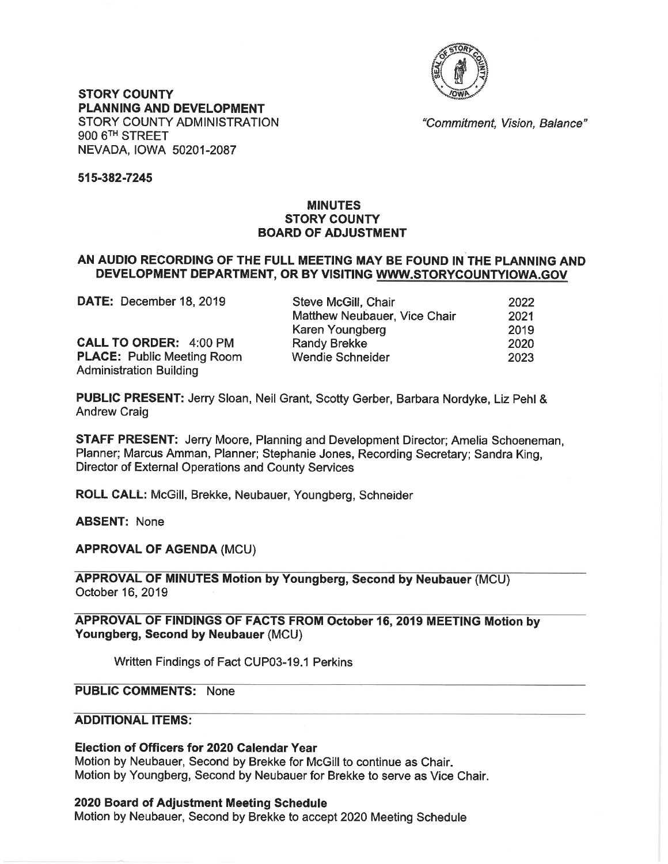

**STORY COUNTY** PLANNING AND DEVELOPMENT **STORY COUNTY ADMINISTRATION** 900 6<sup>TH</sup> STREET NEVADA, IOWA 50201-2087

"Commitment, Vision, Balance"

#### 515-382-7245

## **MINUTES STORY COUNTY BOARD OF ADJUSTMENT**

### AN AUDIO RECORDING OF THE FULL MEETING MAY BE FOUND IN THE PLANNING AND DEVELOPMENT DEPARTMENT, OR BY VISITING WWW.STORYCOUNTYIOWA.GOV

| DATE: December 18, 2019           | Steve McGill, Chair          | 2022 |
|-----------------------------------|------------------------------|------|
|                                   | Matthew Neubauer, Vice Chair | 2021 |
|                                   | Karen Youngberg              | 2019 |
| <b>CALL TO ORDER: 4:00 PM</b>     | Randy Brekke                 | 2020 |
| <b>PLACE: Public Meeting Room</b> | Wendie Schneider             | 2023 |
| <b>Administration Building</b>    |                              |      |

PUBLIC PRESENT: Jerry Sloan, Neil Grant, Scotty Gerber, Barbara Nordyke, Liz Pehl & **Andrew Craig** 

STAFF PRESENT: Jerry Moore, Planning and Development Director; Amelia Schoeneman, Planner; Marcus Amman, Planner; Stephanie Jones, Recording Secretary; Sandra King, Director of External Operations and County Services

ROLL CALL: McGill, Brekke, Neubauer, Youngberg, Schneider

**ABSENT: None** 

**APPROVAL OF AGENDA (MCU)** 

**APPROVAL OF MINUTES Motion by Youngberg, Second by Neubauer (MCU)** October 16, 2019

APPROVAL OF FINDINGS OF FACTS FROM October 16, 2019 MEETING Motion by Youngberg, Second by Neubauer (MCU)

Written Findings of Fact CUP03-19.1 Perkins

# **PUBLIC COMMENTS: None**

## **ADDITIONAL ITEMS:**

Election of Officers for 2020 Calendar Year

Motion by Neubauer, Second by Brekke for McGill to continue as Chair. Motion by Youngberg, Second by Neubauer for Brekke to serve as Vice Chair.

### 2020 Board of Adjustment Meeting Schedule

Motion by Neubauer, Second by Brekke to accept 2020 Meeting Schedule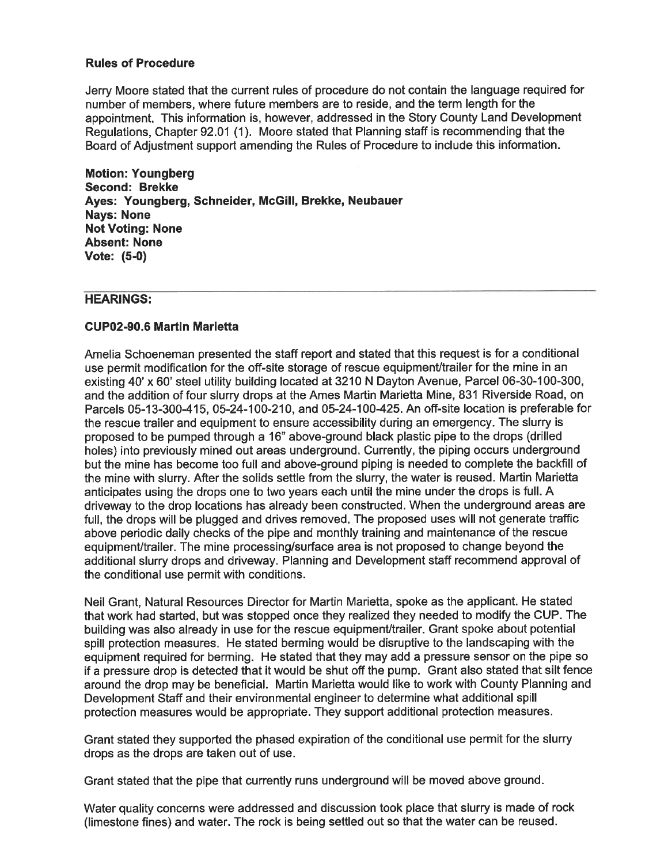#### **Rules of Procedure**

Jerry Moore stated that the current rules of procedure do not contain the language required for number of members, where future members are to reside, and the term length for the appointment. This information is, however, addressed in the Story County Land Development Regulations, Chapter 92.01 (1). Moore stated that Planning staff is recommending that the Board of Adjustment support amending the Rules of Procedure to include this information.

**Motion: Youngberg** Second: Brekke Ayes: Youngberg, Schneider, McGill, Brekke, Neubauer **Nays: None Not Voting: None Absent: None** Vote: (5-0)

#### **HEARINGS:**

#### **CUP02-90.6 Martin Marietta**

Amelia Schoeneman presented the staff report and stated that this request is for a conditional use permit modification for the off-site storage of rescue equipment/trailer for the mine in an existing 40' x 60' steel utility building located at 3210 N Dayton Avenue, Parcel 06-30-100-300, and the addition of four slurry drops at the Ames Martin Marietta Mine, 831 Riverside Road, on Parcels 05-13-300-415, 05-24-100-210, and 05-24-100-425. An off-site location is preferable for the rescue trailer and equipment to ensure accessibility during an emergency. The slurry is proposed to be pumped through a 16" above-ground black plastic pipe to the drops (drilled holes) into previously mined out areas underground. Currently, the piping occurs underground but the mine has become too full and above-ground piping is needed to complete the backfill of the mine with slurry. After the solids settle from the slurry, the water is reused. Martin Marietta anticipates using the drops one to two years each until the mine under the drops is full. A driveway to the drop locations has already been constructed. When the underground areas are full, the drops will be plugged and drives removed. The proposed uses will not generate traffic above periodic daily checks of the pipe and monthly training and maintenance of the rescue equipment/trailer. The mine processing/surface area is not proposed to change beyond the additional slurry drops and driveway. Planning and Development staff recommend approval of the conditional use permit with conditions.

Neil Grant, Natural Resources Director for Martin Marietta, spoke as the applicant. He stated that work had started, but was stopped once they realized they needed to modify the CUP. The building was also already in use for the rescue equipment/trailer. Grant spoke about potential spill protection measures. He stated berming would be disruptive to the landscaping with the equipment required for berming. He stated that they may add a pressure sensor on the pipe so if a pressure drop is detected that it would be shut off the pump. Grant also stated that silt fence around the drop may be beneficial. Martin Marietta would like to work with County Planning and Development Staff and their environmental engineer to determine what additional spill protection measures would be appropriate. They support additional protection measures.

Grant stated they supported the phased expiration of the conditional use permit for the slurry drops as the drops are taken out of use.

Grant stated that the pipe that currently runs underground will be moved above ground.

Water quality concerns were addressed and discussion took place that slurry is made of rock (limestone fines) and water. The rock is being settled out so that the water can be reused.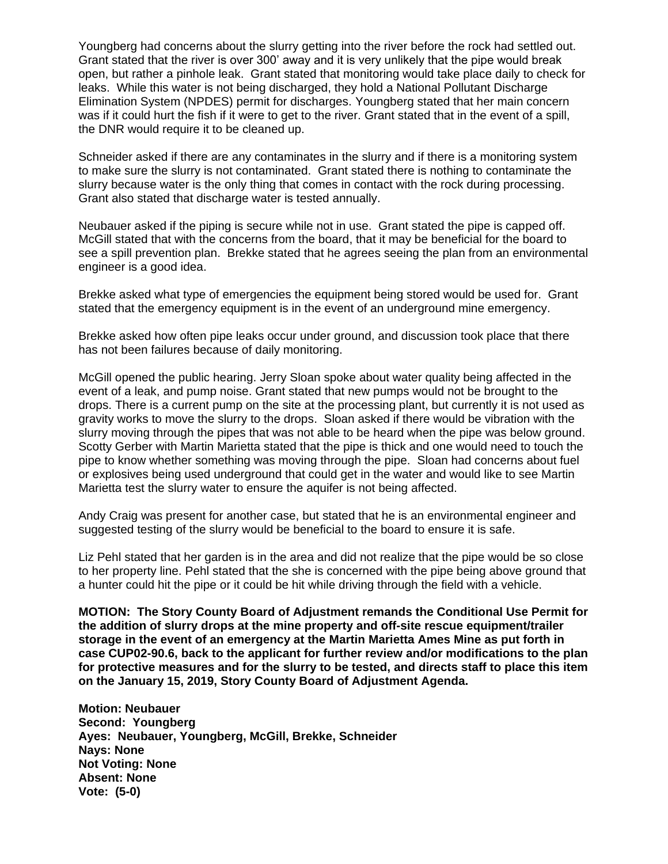Youngberg had concerns about the slurry getting into the river before the rock had settled out. Grant stated that the river is over 300' away and it is very unlikely that the pipe would break open, but rather a pinhole leak. Grant stated that monitoring would take place daily to check for leaks. While this water is not being discharged, they hold a National Pollutant Discharge Elimination System (NPDES) permit for discharges. Youngberg stated that her main concern was if it could hurt the fish if it were to get to the river. Grant stated that in the event of a spill, the DNR would require it to be cleaned up.

Schneider asked if there are any contaminates in the slurry and if there is a monitoring system to make sure the slurry is not contaminated. Grant stated there is nothing to contaminate the slurry because water is the only thing that comes in contact with the rock during processing. Grant also stated that discharge water is tested annually.

Neubauer asked if the piping is secure while not in use. Grant stated the pipe is capped off. McGill stated that with the concerns from the board, that it may be beneficial for the board to see a spill prevention plan. Brekke stated that he agrees seeing the plan from an environmental engineer is a good idea.

Brekke asked what type of emergencies the equipment being stored would be used for. Grant stated that the emergency equipment is in the event of an underground mine emergency.

Brekke asked how often pipe leaks occur under ground, and discussion took place that there has not been failures because of daily monitoring.

McGill opened the public hearing. Jerry Sloan spoke about water quality being affected in the event of a leak, and pump noise. Grant stated that new pumps would not be brought to the drops. There is a current pump on the site at the processing plant, but currently it is not used as gravity works to move the slurry to the drops. Sloan asked if there would be vibration with the slurry moving through the pipes that was not able to be heard when the pipe was below ground. Scotty Gerber with Martin Marietta stated that the pipe is thick and one would need to touch the pipe to know whether something was moving through the pipe. Sloan had concerns about fuel or explosives being used underground that could get in the water and would like to see Martin Marietta test the slurry water to ensure the aquifer is not being affected.

Andy Craig was present for another case, but stated that he is an environmental engineer and suggested testing of the slurry would be beneficial to the board to ensure it is safe.

Liz Pehl stated that her garden is in the area and did not realize that the pipe would be so close to her property line. Pehl stated that the she is concerned with the pipe being above ground that a hunter could hit the pipe or it could be hit while driving through the field with a vehicle.

**MOTION: The Story County Board of Adjustment remands the Conditional Use Permit for the addition of slurry drops at the mine property and off-site rescue equipment/trailer storage in the event of an emergency at the Martin Marietta Ames Mine as put forth in case CUP02-90.6, back to the applicant for further review and/or modifications to the plan for protective measures and for the slurry to be tested, and directs staff to place this item on the January 15, 2019, Story County Board of Adjustment Agenda.**

**Motion: Neubauer Second: Youngberg Ayes: Neubauer, Youngberg, McGill, Brekke, Schneider Nays: None Not Voting: None Absent: None Vote: (5-0)**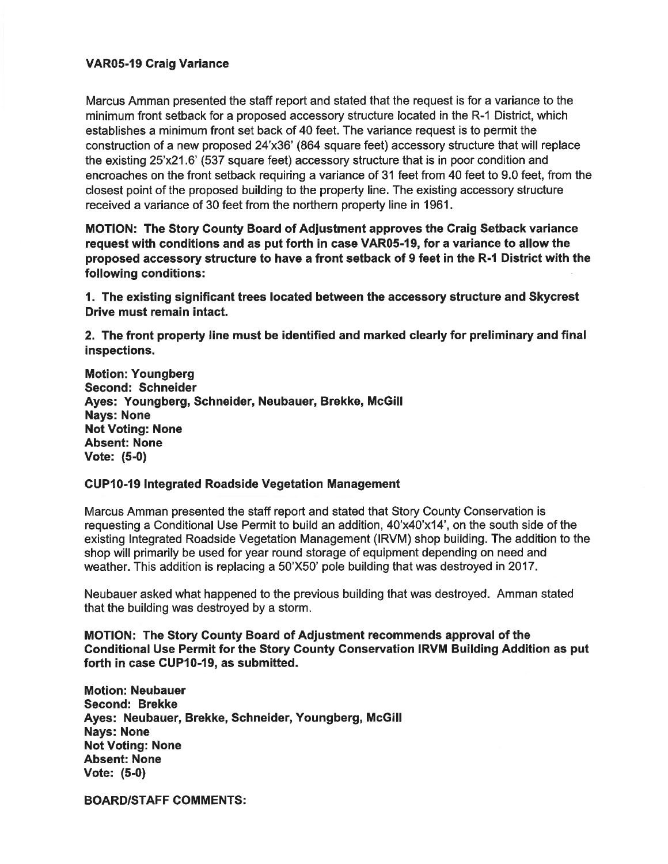## **VAR05-19 Craig Variance**

Marcus Amman presented the staff report and stated that the request is for a variance to the minimum front setback for a proposed accessory structure located in the R-1 District, which establishes a minimum front set back of 40 feet. The variance request is to permit the construction of a new proposed 24'x36' (864 square feet) accessory structure that will replace the existing 25'x21.6' (537 square feet) accessory structure that is in poor condition and encroaches on the front setback requiring a variance of 31 feet from 40 feet to 9.0 feet, from the closest point of the proposed building to the property line. The existing accessory structure received a variance of 30 feet from the northern property line in 1961.

MOTION: The Story County Board of Adjustment approves the Craig Setback variance request with conditions and as put forth in case VAR05-19, for a variance to allow the proposed accessory structure to have a front setback of 9 feet in the R-1 District with the following conditions:

1. The existing significant trees located between the accessory structure and Skycrest Drive must remain intact.

2. The front property line must be identified and marked clearly for preliminary and final inspections.

**Motion: Youngberg** Second: Schneider Ayes: Youngberg, Schneider, Neubauer, Brekke, McGill **Nays: None Not Voting: None Absent: None** Vote: (5-0)

#### **CUP10-19 Integrated Roadside Vegetation Management**

Marcus Amman presented the staff report and stated that Story County Conservation is requesting a Conditional Use Permit to build an addition, 40'x40'x14', on the south side of the existing Integrated Roadside Vegetation Management (IRVM) shop building. The addition to the shop will primarily be used for year round storage of equipment depending on need and weather. This addition is replacing a 50'X50' pole building that was destroyed in 2017.

Neubauer asked what happened to the previous building that was destroyed. Amman stated that the building was destroyed by a storm.

**MOTION: The Story County Board of Adjustment recommends approval of the** Conditional Use Permit for the Story County Conservation IRVM Building Addition as put forth in case CUP10-19, as submitted.

**Motion: Neubauer Second: Brekke** Ayes: Neubauer, Brekke, Schneider, Youngberg, McGill **Nays: None Not Voting: None Absent: None** Vote:  $(5-0)$ 

**BOARD/STAFF COMMENTS:**